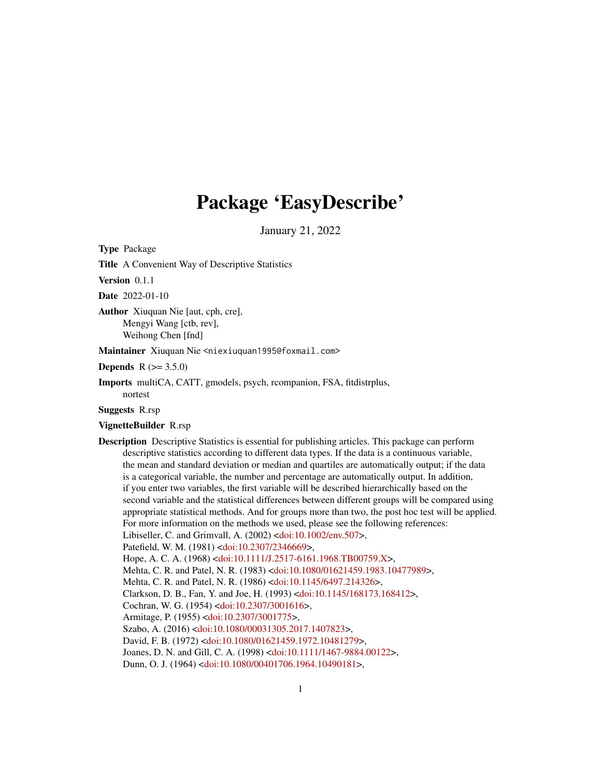# Package 'EasyDescribe'

January 21, 2022

Type Package

Title A Convenient Way of Descriptive Statistics

Version 0.1.1

Date 2022-01-10

Author Xiuquan Nie [aut, cph, cre], Mengyi Wang [ctb, rev], Weihong Chen [fnd]

Maintainer Xiuquan Nie <niexiuquan1995@foxmail.com>

**Depends** R  $(>= 3.5.0)$ 

Imports multiCA, CATT, gmodels, psych, rcompanion, FSA, fitdistrplus, nortest

Suggests R.rsp

#### VignetteBuilder R.rsp

Description Descriptive Statistics is essential for publishing articles. This package can perform descriptive statistics according to different data types. If the data is a continuous variable, the mean and standard deviation or median and quartiles are automatically output; if the data is a categorical variable, the number and percentage are automatically output. In addition, if you enter two variables, the first variable will be described hierarchically based on the second variable and the statistical differences between different groups will be compared using appropriate statistical methods. And for groups more than two, the post hoc test will be applied. For more information on the methods we used, please see the following references: Libiseller, C. and Grimvall, A. (2002) [<doi:10.1002/env.507>](https://doi.org/10.1002/env.507), Patefield, W. M. (1981) [<doi:10.2307/2346669>](https://doi.org/10.2307/2346669), Hope, A. C. A. (1968) [<doi:10.1111/J.2517-6161.1968.TB00759.X>](https://doi.org/10.1111/J.2517-6161.1968.TB00759.X), Mehta, C. R. and Patel, N. R. (1983) [<doi:10.1080/01621459.1983.10477989>](https://doi.org/10.1080/01621459.1983.10477989), Mehta, C. R. and Patel, N. R. (1986) [<doi:10.1145/6497.214326>](https://doi.org/10.1145/6497.214326), Clarkson, D. B., Fan, Y. and Joe, H. (1993) [<doi:10.1145/168173.168412>](https://doi.org/10.1145/168173.168412), Cochran, W. G. (1954) [<doi:10.2307/3001616>](https://doi.org/10.2307/3001616), Armitage, P. (1955) [<doi:10.2307/3001775>](https://doi.org/10.2307/3001775), Szabo, A. (2016) [<doi:10.1080/00031305.2017.1407823>](https://doi.org/10.1080/00031305.2017.1407823), David, F. B. (1972) [<doi:10.1080/01621459.1972.10481279>](https://doi.org/10.1080/01621459.1972.10481279), Joanes, D. N. and Gill, C. A. (1998) [<doi:10.1111/1467-9884.00122>](https://doi.org/10.1111/1467-9884.00122), Dunn, O. J. (1964) [<doi:10.1080/00401706.1964.10490181>](https://doi.org/10.1080/00401706.1964.10490181),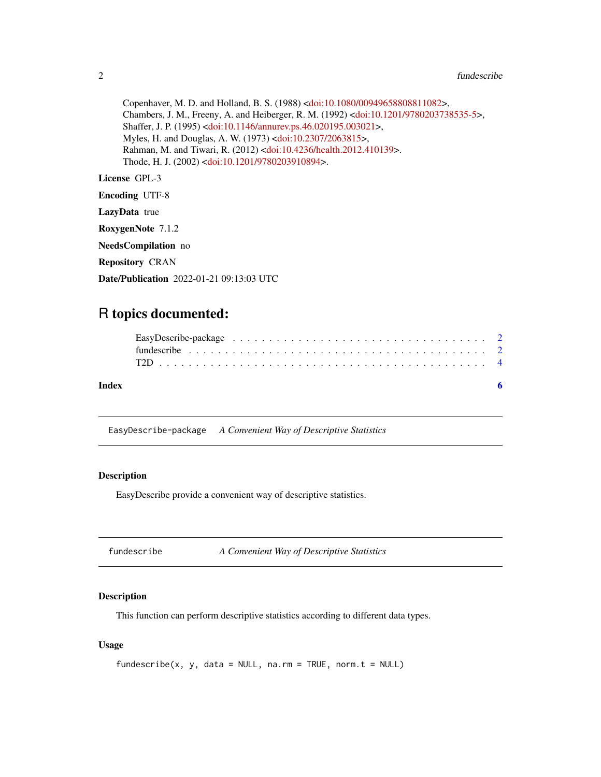```
Copenhaver, M. D. and Holland, B. S. (1988) <doi:10.1080/00949658808811082>,
Chambers, J. M., Freeny, A. and Heiberger, R. M. (1992) <doi:10.1201/9780203738535-5>,
Shaffer, J. P. (1995) <doi:10.1146/annurev.ps.46.020195.003021>,
Myles, H. and Douglas, A. W. (1973) <doi:10.2307/2063815>,
Rahman, M. and Tiwari, R. (2012) <doi:10.4236/health.2012.410139>.
Thode, H. J. (2002) <doi:10.1201/9780203910894>.
```
License GPL-3

Encoding UTF-8

LazyData true

RoxygenNote 7.1.2

NeedsCompilation no

Repository CRAN

Date/Publication 2022-01-21 09:13:03 UTC

## R topics documented:

| Index |  |  |  |  |  |  |  |  |  |  |  |  |  |  |  |  |  |  |
|-------|--|--|--|--|--|--|--|--|--|--|--|--|--|--|--|--|--|--|
|       |  |  |  |  |  |  |  |  |  |  |  |  |  |  |  |  |  |  |
|       |  |  |  |  |  |  |  |  |  |  |  |  |  |  |  |  |  |  |

EasyDescribe-package *A Convenient Way of Descriptive Statistics*

#### Description

EasyDescribe provide a convenient way of descriptive statistics.

fundescribe *A Convenient Way of Descriptive Statistics*

#### Description

This function can perform descriptive statistics according to different data types.

#### Usage

```
fundescribe(x, y, data = NULL, na.rm = TRUE, norm.t = NULL)
```
<span id="page-1-0"></span>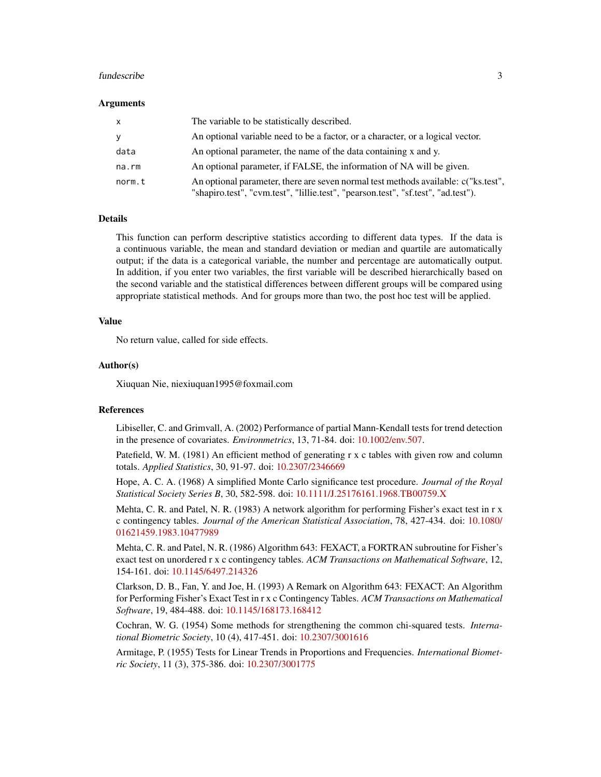#### fundescribe 3

#### Arguments

| $\mathsf{X}$ | The variable to be statistically described.                                                                                                                             |
|--------------|-------------------------------------------------------------------------------------------------------------------------------------------------------------------------|
| <b>V</b>     | An optional variable need to be a factor, or a character, or a logical vector.                                                                                          |
| data         | An optional parameter, the name of the data containing x and y.                                                                                                         |
| na.rm        | An optional parameter, if FALSE, the information of NA will be given.                                                                                                   |
| norm.t       | An optional parameter, there are seven normal test methods available: c("ks.test",<br>"shapiro.test", "cvm.test", "lillie.test", "pearson.test", "sf.test", "ad.test"). |

#### Details

This function can perform descriptive statistics according to different data types. If the data is a continuous variable, the mean and standard deviation or median and quartile are automatically output; if the data is a categorical variable, the number and percentage are automatically output. In addition, if you enter two variables, the first variable will be described hierarchically based on the second variable and the statistical differences between different groups will be compared using appropriate statistical methods. And for groups more than two, the post hoc test will be applied.

#### Value

No return value, called for side effects.

#### Author(s)

Xiuquan Nie, niexiuquan1995@foxmail.com

#### References

Libiseller, C. and Grimvall, A. (2002) Performance of partial Mann-Kendall tests for trend detection in the presence of covariates. *Environmetrics*, 13, 71-84. doi: [10.1002/env.507.](https://doi.org/10.1002/env.507)

Patefield, W. M. (1981) An efficient method of generating r x c tables with given row and column totals. *Applied Statistics*, 30, 91-97. doi: [10.2307/2346669](https://doi.org/10.2307/2346669)

Hope, A. C. A. (1968) A simplified Monte Carlo significance test procedure. *Journal of the Royal Statistical Society Series B*, 30, 582-598. doi: [10.1111/J.25176161.1968.TB00759.X](https://doi.org/10.1111/J.2517-6161.1968.TB00759.X)

Mehta, C. R. and Patel, N. R. (1983) A network algorithm for performing Fisher's exact test in r x c contingency tables. *Journal of the American Statistical Association*, 78, 427-434. doi: [10.1080/](https://doi.org/10.1080/01621459.1983.10477989) [01621459.1983.10477989](https://doi.org/10.1080/01621459.1983.10477989)

Mehta, C. R. and Patel, N. R. (1986) Algorithm 643: FEXACT, a FORTRAN subroutine for Fisher's exact test on unordered r x c contingency tables. *ACM Transactions on Mathematical Software*, 12, 154-161. doi: [10.1145/6497.214326](https://doi.org/10.1145/6497.214326)

Clarkson, D. B., Fan, Y. and Joe, H. (1993) A Remark on Algorithm 643: FEXACT: An Algorithm for Performing Fisher's Exact Test in r x c Contingency Tables. *ACM Transactions on Mathematical Software*, 19, 484-488. doi: [10.1145/168173.168412](https://doi.org/10.1145/168173.168412)

Cochran, W. G. (1954) Some methods for strengthening the common chi-squared tests. *International Biometric Society*, 10 (4), 417-451. doi: [10.2307/3001616](https://doi.org/10.2307/3001616)

Armitage, P. (1955) Tests for Linear Trends in Proportions and Frequencies. *International Biometric Society*, 11 (3), 375-386. doi: [10.2307/3001775](https://doi.org/10.2307/3001775)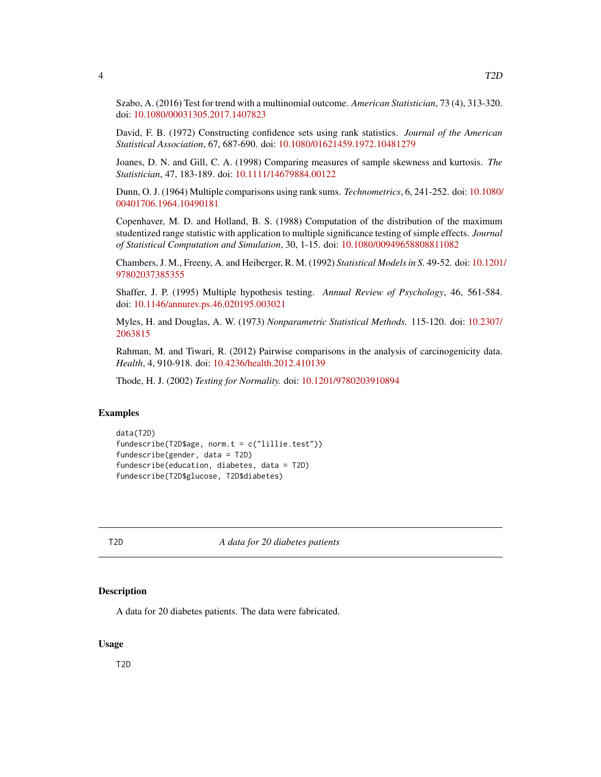<span id="page-3-0"></span>Szabo, A. (2016) Test for trend with a multinomial outcome. *American Statistician*, 73 (4), 313-320. doi: [10.1080/00031305.2017.1407823](https://doi.org/10.1080/00031305.2017.1407823)

David, F. B. (1972) Constructing confidence sets using rank statistics. *Journal of the American Statistical Association*, 67, 687-690. doi: [10.1080/01621459.1972.10481279](https://doi.org/10.1080/01621459.1972.10481279)

Joanes, D. N. and Gill, C. A. (1998) Comparing measures of sample skewness and kurtosis. *The Statistician*, 47, 183-189. doi: [10.1111/14679884.00122](https://doi.org/10.1111/1467-9884.00122)

Dunn, O. J. (1964) Multiple comparisons using rank sums. *Technometrics*, 6, 241-252. doi: [10.1080/](https://doi.org/10.1080/00401706.1964.10490181) [00401706.1964.10490181](https://doi.org/10.1080/00401706.1964.10490181)

Copenhaver, M. D. and Holland, B. S. (1988) Computation of the distribution of the maximum studentized range statistic with application to multiple significance testing of simple effects. *Journal of Statistical Computation and Simulation*, 30, 1-15. doi: [10.1080/00949658808811082](https://doi.org/10.1080/00949658808811082)

Chambers, J. M., Freeny, A. and Heiberger, R. M. (1992) *Statistical Models in S.* 49-52. doi: [10.1201](https://doi.org/10.1201/9780203738535-5)/ [97802037385355](https://doi.org/10.1201/9780203738535-5)

Shaffer, J. P. (1995) Multiple hypothesis testing. *Annual Review of Psychology*, 46, 561-584. doi: [10.1146/annurev.ps.46.020195.003021](https://doi.org/10.1146/annurev.ps.46.020195.003021)

Myles, H. and Douglas, A. W. (1973) *Nonparametric Statistical Methods.* 115-120. doi: [10.2307/](https://doi.org/10.2307/2063815) [2063815](https://doi.org/10.2307/2063815)

Rahman, M. and Tiwari, R. (2012) Pairwise comparisons in the analysis of carcinogenicity data. *Health*, 4, 910-918. doi: [10.4236/health.2012.410139](https://doi.org/10.4236/health.2012.410139)

Thode, H. J. (2002) *Testing for Normality.* doi: [10.1201/9780203910894](https://doi.org/10.1201/9780203910894)

#### Examples

```
data(T2D)
fundescribe(T2D$age, norm.t = c("lillie.test"))
fundescribe(gender, data = T2D)
fundescribe(education, diabetes, data = T2D)
fundescribe(T2D$glucose, T2D$diabetes)
```
T2D *A data for 20 diabetes patients*

#### **Description**

A data for 20 diabetes patients. The data were fabricated.

#### Usage

T2D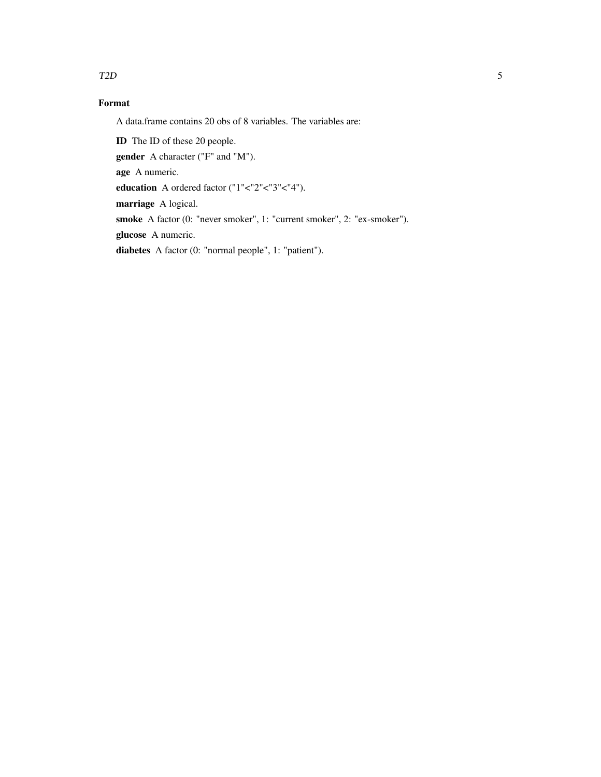#### T2D 5

### Format

A data.frame contains 20 obs of 8 variables. The variables are:

ID The ID of these 20 people.

gender A character ("F" and "M").

age A numeric.

education A ordered factor ("1"<"2"<"3"<"4").

marriage A logical.

smoke A factor (0: "never smoker", 1: "current smoker", 2: "ex-smoker").

glucose A numeric.

diabetes A factor (0: "normal people", 1: "patient").